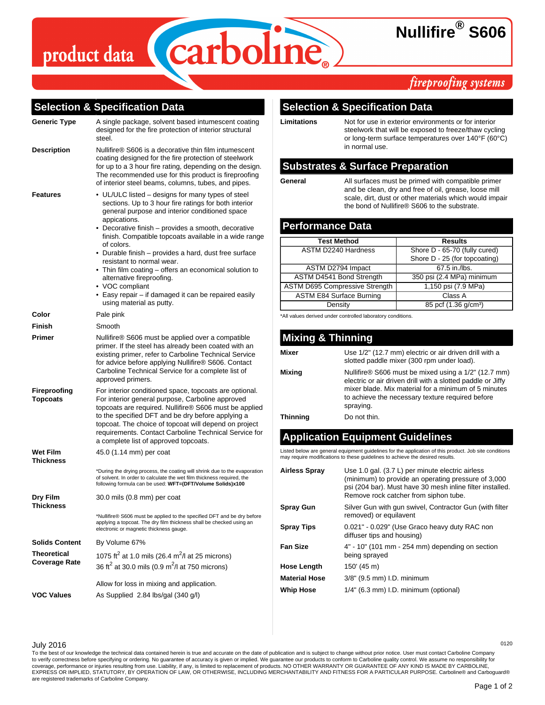# product data



# **Nullifire® S606**

# fireproofing systems

### **Selection & Specification Data**

| Generic Type                        | A single package, solvent based intumescent coating<br>designed for the fire protection of interior structural<br>steel.                                                                                                                                                                                                                                                                                                                                                                                                                                                                       |
|-------------------------------------|------------------------------------------------------------------------------------------------------------------------------------------------------------------------------------------------------------------------------------------------------------------------------------------------------------------------------------------------------------------------------------------------------------------------------------------------------------------------------------------------------------------------------------------------------------------------------------------------|
| <b>Description</b>                  | Nullifire® S606 is a decorative thin film intumescent<br>coating designed for the fire protection of steelwork<br>for up to a 3 hour fire rating, depending on the design.<br>The recommended use for this product is fireproofing<br>of interior steel beams, columns, tubes, and pipes.                                                                                                                                                                                                                                                                                                      |
| Features                            | • UL/ULC listed – designs for many types of steel<br>sections. Up to 3 hour fire ratings for both interior<br>general purpose and interior conditioned space<br>appications.<br>• Decorative finish - provides a smooth, decorative<br>finish. Compatible topcoats available in a wide range<br>of colors.<br>• Durable finish - provides a hard, dust free surface<br>resistant to normal wear.<br>• Thin film coating – offers an economical solution to<br>alternative fireproofing.<br>• VOC compliant<br>• Easy repair - if damaged it can be repaired easily<br>using material as putty. |
| Color                               | Pale pink                                                                                                                                                                                                                                                                                                                                                                                                                                                                                                                                                                                      |
| Finish                              | Smooth                                                                                                                                                                                                                                                                                                                                                                                                                                                                                                                                                                                         |
| Primer                              | Nullifire® S606 must be applied over a compatible<br>primer. If the steel has already been coated with an<br>existing primer, refer to Carboline Technical Service<br>for advice before applying Nullifire® S606. Contact<br>Carboline Technical Service for a complete list of<br>approved primers.                                                                                                                                                                                                                                                                                           |
| Fireproofing<br><b>Topcoats</b>     | For interior conditioned space, topcoats are optional.<br>For interior general purpose, Carboline approved<br>topcoats are required. Nullifire® S606 must be applied<br>to the specified DFT and be dry before applying a<br>topcoat. The choice of topcoat will depend on project<br>requirements. Contact Carboline Technical Service for<br>a complete list of approved topcoats.                                                                                                                                                                                                           |
| <b>Wet Film</b><br><b>Thickness</b> | 45.0 (1.14 mm) per coat                                                                                                                                                                                                                                                                                                                                                                                                                                                                                                                                                                        |
|                                     | *During the drying process, the coating will shrink due to the evaporation<br>of solvent. In order to calculate the wet film thickness required, the<br>following formula can be used: WFT=(DFT/Volume Solids)x100                                                                                                                                                                                                                                                                                                                                                                             |
| Dry Film<br><b>Thickness</b>        | 30.0 mils (0.8 mm) per coat                                                                                                                                                                                                                                                                                                                                                                                                                                                                                                                                                                    |
|                                     | *Nullifire® S606 must be applied to the specified DFT and be dry before<br>applying a topcoat. The dry film thickness shall be checked using an<br>electronic or magnetic thickness gauge.                                                                                                                                                                                                                                                                                                                                                                                                     |
| <b>Solids Content</b>               | By Volume 67%                                                                                                                                                                                                                                                                                                                                                                                                                                                                                                                                                                                  |
| Theoretical<br>Coverage Rate        | 1075 ft <sup>2</sup> at 1.0 mils (26.4 m <sup>2</sup> /l at 25 microns)<br>36 ft <sup>2</sup> at 30.0 mils (0.9 m <sup>2</sup> /l at 750 microns)                                                                                                                                                                                                                                                                                                                                                                                                                                              |
|                                     | Allow for loss in mixing and application.                                                                                                                                                                                                                                                                                                                                                                                                                                                                                                                                                      |
| <b>VOC Values</b>                   | As Supplied 2.84 lbs/gal (340 g/l)                                                                                                                                                                                                                                                                                                                                                                                                                                                                                                                                                             |
|                                     |                                                                                                                                                                                                                                                                                                                                                                                                                                                                                                                                                                                                |

### **Selection & Specification Data**

**Limitations** Not for use in exterior environments or for interior steelwork that will be exposed to freeze/thaw cycling or long-term surface temperatures over 140°F (60°C) in normal use.

### **Substrates & Surface Preparation**

**General** All surfaces must be primed with compatible primer and be clean, dry and free of oil, grease, loose mill scale, dirt, dust or other materials which would impair the bond of Nullifire® S606 to the substrate.

### **Performance Data**

| <b>Test Method</b>                    | <b>Results</b>                   |
|---------------------------------------|----------------------------------|
| <b>ASTM D2240 Hardness</b>            | Shore D - 65-70 (fully cured)    |
|                                       | Shore D - 25 (for topcoating)    |
| ASTM D2794 Impact                     | 67.5 in./lbs.                    |
| ASTM D4541 Bond Strength              | 350 psi (2.4 MPa) minimum        |
| <b>ASTM D695 Compressive Strength</b> | 1,150 psi (7.9 MPa)              |
| <b>ASTM E84 Surface Burning</b>       | Class A                          |
| Density                               | 85 pcf (1.36 g/cm <sup>3</sup> ) |

\*All values derived under controlled laboratory conditions.

#### **Mixing & Thinning Mixer Use 1/2"** (12.7 mm) electric or air driven drill with a slotted paddle mixer (300 rpm under load). **Mixing Nullifire® S606 must be mixed using a 1/2" (12.7 mm)** electric or air driven drill with a slotted paddle or Jiffy mixer blade. Mix material for a minimum of 5 minutes to achieve the necessary texture required before spraying. **Thinning** Do not thin.

# **Application Equipment Guidelines**

Listed below are general equipment guidelines for the application of this product. Job site conditions may require modifications to these guidelines to achieve the desired results.

| <b>Airless Spray</b> | Use 1.0 gal. (3.7 L) per minute electric airless<br>(minimum) to provide an operating pressure of 3,000<br>psi (204 bar). Must have 30 mesh inline filter installed.<br>Remove rock catcher from siphon tube. |
|----------------------|---------------------------------------------------------------------------------------------------------------------------------------------------------------------------------------------------------------|
| <b>Spray Gun</b>     | Silver Gun with gun swivel, Contractor Gun (with filter<br>removed) or equilavent                                                                                                                             |
| <b>Spray Tips</b>    | 0.021" - 0.029" (Use Graco heavy duty RAC non<br>diffuser tips and housing)                                                                                                                                   |
| <b>Fan Size</b>      | $4" - 10"$ (101 mm $-$ 254 mm) depending on section<br>being sprayed                                                                                                                                          |
| <b>Hose Length</b>   | $150'$ (45 m)                                                                                                                                                                                                 |
| <b>Material Hose</b> | 3/8" (9.5 mm) I.D. minimum                                                                                                                                                                                    |
| <b>Whip Hose</b>     | 1/4" (6.3 mm) I.D. minimum (optional)                                                                                                                                                                         |

July 2016 <sup>0120</sup>

To the best of our knowledge the technical data contained herein is true and accurate on the date of publication and is subject to change without prior notice. User must contact Carboline Company to verify correctness before specifying or ordering. No guarantee of accuracy is given or implied. We guarantee our products to conform to Carboline quality control. We assume no responsibility for<br>coverage, performance or EXPRESS OR IMPLIED, STATUTORY, BY OPERATION OF LAW, OR OTHERWISE, INCLUDING MERCHANTABILITY AND FITNESS FOR A PARTICULAR PURPOSE. Carboline® and Carboguard® are registered trademarks of Carboline Company.